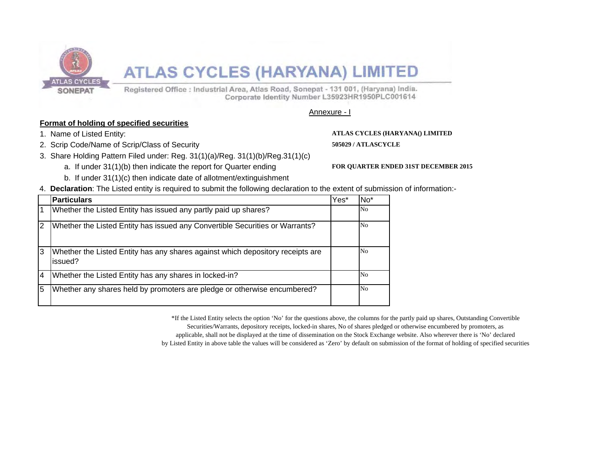

# **ATLAS CYCLES (HARYANA) LIMITED**

Registered Office : Industrial Area, Atlas Road, Sonepat - 131 001, (Haryana) India. Corporate Identity Number L35923HR1950PLC001614

Annexure - I

## **Format of holding of specified securities**

- 1. Name of Listed Entity: **ATLAS CYCLES (HARYANA() LIMITED**
- 2. Scrip Code/Name of Scrip/Class of Security **505029 / ATLASCYCLE**
- 3. Share Holding Pattern Filed under: Reg. 31(1)(a)/Reg. 31(1)(b)/Reg.31(1)(c)
	- a. If under 31(1)(b) then indicate the report for Quarter ending **FOR QUARTER ENDED 31ST DECEMBER 2015**

- b. If under 31(1)(c) then indicate date of allotment/extinguishment
- 4. **Declaration**: The Listed entity is required to submit the following declaration to the extent of submission of information:-

|                | <b>Particulars</b>                                                                        | Yes* | No <sup>*</sup> |
|----------------|-------------------------------------------------------------------------------------------|------|-----------------|
|                | Whether the Listed Entity has issued any partly paid up shares?                           |      | No              |
| $\overline{2}$ | Whether the Listed Entity has issued any Convertible Securities or Warrants?              |      | No              |
| 3              | Whether the Listed Entity has any shares against which depository receipts are<br>issued? |      | No              |
| $\overline{4}$ | Whether the Listed Entity has any shares in locked-in?                                    |      | No              |
| 5              | Whether any shares held by promoters are pledge or otherwise encumbered?                  |      | No              |

\*If the Listed Entity selects the option 'No' for the questions above, the columns for the partly paid up shares, Outstanding Convertible Securities/Warrants, depository receipts, locked-in shares, No of shares pledged or otherwise encumbered by promoters, as applicable, shall not be displayed at the time of dissemination on the Stock Exchange website. Also wherever there is 'No' declared by Listed Entity in above table the values will be considered as 'Zero' by default on submission of the format of holding of specified securities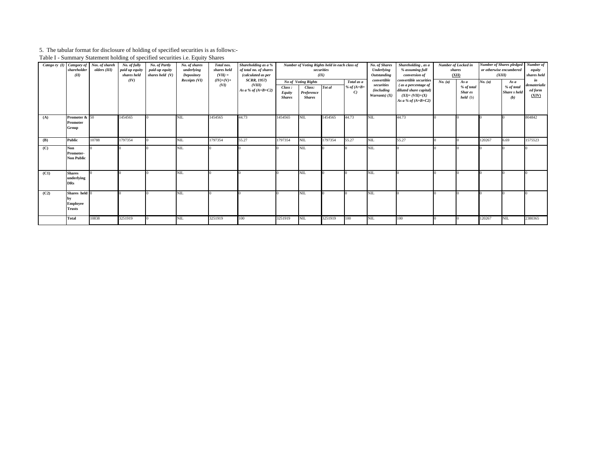#### 5. The tabular format for disclosure of holding of specified securities is as follows:-

Table I - Summary Statement holding of specified securities i.e. Equity Shares

| Catego ry (I) | Category of<br>shareholder<br>(II)                | Nos. of shareh<br>olders (III) | No. of fully<br>paid up equity<br>shares held | No. of Partly<br>paid-up equity<br>shares held $(V)$ | No. of shares<br>underlying<br>Depository | Total nos.<br>shares held<br>$(VII) =$ | Shareholding as a %<br>of total no. of shares<br>(calculated as per |                                          | Number of Voting Rights held in each class of<br>(IX)        | securities |                                             | No. of Shares<br>Underlying<br>Outstanding                         | Shareholding, as a<br>% assuming full<br>conversion of                                                              | Number of Locked in<br>shares<br>(XII)<br>As a |                                     | <b>Number of Shares pledged</b><br>or otherwise encumbered<br>(XIII) |                                                  | Number of<br>equity<br>shares held     |
|---------------|---------------------------------------------------|--------------------------------|-----------------------------------------------|------------------------------------------------------|-------------------------------------------|----------------------------------------|---------------------------------------------------------------------|------------------------------------------|--------------------------------------------------------------|------------|---------------------------------------------|--------------------------------------------------------------------|---------------------------------------------------------------------------------------------------------------------|------------------------------------------------|-------------------------------------|----------------------------------------------------------------------|--------------------------------------------------|----------------------------------------|
|               |                                                   |                                | (IV)                                          |                                                      | Receipts (VI)                             | $(IV)+(V)+$<br>(VI)                    | <b>SCRR, 1957)</b><br>(VIII)<br>As a % of $(A+B+C2)$                | Class:<br><b>Equity</b><br><b>Shares</b> | No of Voting Rights<br>Class:<br>Preference<br><b>Shares</b> | Tot al     | Total as a<br>% of $(A+B+$<br>$\mathcal{C}$ | convertible<br>securities<br><i>(including)</i><br>Warrants) $(X)$ | convertible securities<br>(as a percentage of<br>diluted share capital)<br>$(XI)=(VII)+(X)$<br>As a % of $(A+B+C2)$ | No. (a)                                        | % of total<br>Shar es<br>$held$ (b) | No. (a)                                                              | As a<br>% of total<br><b>Share</b> s held<br>(b) | in<br>dematerializ<br>ed form<br>(XIV) |
| (A)           | Promoter & 50<br>Promoter<br>Group                |                                | 1454565                                       |                                                      | NIL.                                      | 1454565                                | 44.73                                                               | 1454565                                  | NIL                                                          | 1454565    | 44.73                                       | NIL.                                                               | 44.73                                                                                                               |                                                |                                     |                                                                      |                                                  | 804842                                 |
| (B)           | Public                                            | 10788                          | 1797354                                       |                                                      | <b>NIL</b>                                | 1797354                                | 55.27                                                               | 1797354                                  | NIL.                                                         | 1797354    | 55.27                                       | VIL.                                                               | 55.27                                                                                                               |                                                |                                     | 120267                                                               | 6.69                                             | 1575523                                |
| (C)           | <b>Non</b><br>Promoter-<br><b>Non Public</b>      |                                |                                               |                                                      | NIL.                                      |                                        |                                                                     |                                          | NIL                                                          |            |                                             | NIL.                                                               |                                                                                                                     |                                                |                                     |                                                                      |                                                  |                                        |
| (C1)          | <b>Shares</b><br>underlying<br><b>DRs</b>         |                                |                                               |                                                      | NIL.                                      |                                        |                                                                     |                                          | NIL.                                                         |            |                                             | NIL                                                                |                                                                                                                     |                                                |                                     |                                                                      |                                                  |                                        |
| (C2)          | Shares held 0<br><b>Employee</b><br><b>Trusts</b> |                                |                                               |                                                      | <b>NIL</b>                                |                                        |                                                                     |                                          | NIL                                                          |            |                                             | <b>NIL</b>                                                         |                                                                                                                     |                                                |                                     |                                                                      |                                                  |                                        |
|               | <b>Total</b>                                      | 10838                          | 3251919                                       |                                                      | NIL.                                      | 3251919                                | 100                                                                 | 3251919                                  | NIL.                                                         | 3251919    | 100                                         | VІL                                                                | 100                                                                                                                 |                                                |                                     | 120267                                                               | NIL                                              | 2380365                                |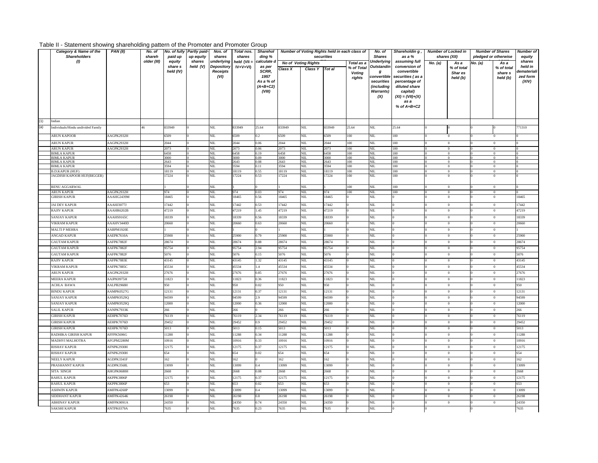### Table II - Statement showing shareholding pattern of the Promoter and Promoter Group

|     | Category & Name of the<br><b>Shareholders</b> | PAN(II)           | No. of<br>shareh | paid up      | No. of fully Partly paid-<br>up equity | Nos. of<br>shares          | Total nos.<br>shares | <b>Sharehol</b><br>ding % |              | Number of Voting Rights held in each class of<br>securities |              |                 | No. of<br><b>Shares</b> | Shareholdin g,<br>as a %        |         | <b>Number of Locked in</b><br>shares (XII) | <b>Number of Shares</b><br>pledged or otherwise |                                | <b>Number of</b><br>equity |
|-----|-----------------------------------------------|-------------------|------------------|--------------|----------------------------------------|----------------------------|----------------------|---------------------------|--------------|-------------------------------------------------------------|--------------|-----------------|-------------------------|---------------------------------|---------|--------------------------------------------|-------------------------------------------------|--------------------------------|----------------------------|
|     | (1)                                           |                   | older (III)      | equity       | shares                                 | underlying                 | held (VII =          | alculate                  |              | <b>No of Voting Rights</b>                                  |              | Total as a      | Underlying              | assuming full                   | No. (a) | As a                                       | No. (a)                                         | As a                           | shares                     |
|     |                                               |                   |                  | share s      | held (V)                               | <b>Depository</b>          | $IV + V + VI$        | as per<br>SCRR.           | Class X      | Class Y                                                     | Tot al       | % of Total      | <b>Outstandin</b>       | conversion of                   |         | % of total                                 |                                                 | % of total                     | held in                    |
|     |                                               |                   |                  | held (IV)    |                                        | <b>Receipts</b><br>(VI)    |                      | 1957                      |              |                                                             |              | Voting          | g<br>convertible        | convertible<br>securities (as a |         | Shar es                                    |                                                 | share s                        | dematerialı<br>zed form    |
|     |                                               |                   |                  |              |                                        |                            |                      | As a % of                 |              |                                                             |              | rights          | securities              | percentage of                   |         | held (b)                                   |                                                 | held (b)                       | (XIV)                      |
|     |                                               |                   |                  |              |                                        |                            |                      | $(A+B+C2)$                |              |                                                             |              |                 | (including              | diluted share                   |         |                                            |                                                 |                                |                            |
|     |                                               |                   |                  |              |                                        |                            |                      | (VIII)                    |              |                                                             |              |                 | <b>Warrants)</b>        | capital)                        |         |                                            |                                                 |                                |                            |
|     |                                               |                   |                  |              |                                        |                            |                      |                           |              |                                                             |              |                 | (X)                     | $(XI) = (VII)+(X)$              |         |                                            |                                                 |                                |                            |
|     |                                               |                   |                  |              |                                        |                            |                      |                           |              |                                                             |              |                 |                         | as a                            |         |                                            |                                                 |                                |                            |
|     |                                               |                   |                  |              |                                        |                            |                      |                           |              |                                                             |              |                 |                         | % of $A+B+C2$                   |         |                                            |                                                 |                                |                            |
|     |                                               |                   |                  |              |                                        |                            |                      |                           |              |                                                             |              |                 |                         |                                 |         |                                            |                                                 |                                |                            |
|     |                                               |                   |                  |              |                                        |                            |                      |                           |              |                                                             |              |                 |                         |                                 |         |                                            |                                                 |                                |                            |
| (1) | Indian                                        |                   |                  | 833949       |                                        |                            | 833949               |                           | 833949       |                                                             | 833949       |                 |                         | 25.64                           |         |                                            |                                                 |                                |                            |
| (a) | Individuals/Hindu undivided Family            |                   |                  |              |                                        | NIL.                       |                      | 25.64                     |              | NIL                                                         |              | 25.64           | NIL                     |                                 |         |                                            |                                                 |                                | 771310                     |
|     | <b>ARUN KAPOOR</b>                            | AAGPK2932H        |                  | 6509         |                                        | NIL.                       | 6509                 | 0.2                       | 6509         | NIL.                                                        | 6509         | 100             | NIL                     | 100                             |         | $\theta$                                   |                                                 | $\theta$                       |                            |
|     | <b>ARUN KAPUR</b>                             | AAGPK2932H        |                  | 2044         |                                        | NIL.                       | 2044                 | 0.06                      | 2044         | NIL.                                                        | 2044         | 100             | <b>NIL</b>              | 100                             |         | $\overline{0}$                             |                                                 | $\overline{0}$                 |                            |
|     | <b>ARUN KAPUR</b>                             | AAGPK2932H        |                  | 2073         |                                        | NIL.                       | 2073                 | 0.06                      | 2073         | NIL                                                         | 2073         | 100             | NIL                     | 100                             |         | $\overline{0}$                             |                                                 | $\overline{0}$                 |                            |
|     | <b>BIMLA KAPUR</b>                            |                   |                  | 6458         |                                        | NIL.                       | 6458                 | 0.19                      | 6458         | NIL.                                                        | 6458         | 100             | NIL.                    | 100                             |         | $\overline{0}$                             |                                                 | $\mathbf{0}$                   |                            |
|     | <b>BIMLA KAPUR</b>                            |                   |                  | 3000         |                                        | NIL.                       | 3000                 | 0.09                      | 3000         | NIL.                                                        | 3000         | 100             | NIL.                    | 100                             |         | $\overline{0}$                             |                                                 | $\overline{0}$                 |                            |
|     | <b>BIMLA KAPUR</b><br><b>BIMLA KAPUR</b>      |                   |                  | 2643<br>3594 |                                        | <b>NIL</b><br>$_{\rm NIL}$ | 2643<br>3594         | 0.08<br>0.11              | 2643<br>3594 | NIL.<br>NIL                                                 | 2643<br>3594 | 100<br>100      | NIL.<br>$\mbox{NIL}$    | 100<br>100                      |         | $\overline{0}$<br>$\overline{0}$           |                                                 | $\mathbf{0}$<br>$\overline{0}$ |                            |
|     | <b>B.D.KAPUR (HUF)</b>                        |                   |                  | 18119        |                                        | NIL.                       | 18119                | 0.55                      | 18119        | NIL                                                         | 18119        | 100             | $_{\rm NIL}$            | 100                             |         | $\overline{0}$                             |                                                 | $\theta$                       |                            |
|     | JAGDISH KAPOOR HUF(BIGGER)                    |                   |                  | 7224         |                                        | NIL.                       | 17224                | 0.53                      | 17224        | NIL.                                                        | 17224        | 00              | NIL.                    | 100                             |         | $\theta$                                   |                                                 | $\bf{0}$                       |                            |
|     |                                               |                   |                  |              |                                        |                            |                      |                           |              |                                                             |              |                 |                         |                                 |         |                                            |                                                 |                                |                            |
|     | RENU AGGARWAL                                 |                   |                  |              |                                        | NIL.                       |                      |                           |              | NIL.                                                        |              | 100             | NIL.                    | 100                             |         | $\overline{0}$                             |                                                 | $\Omega$                       |                            |
|     | <b>ARUN KAPUR</b>                             | AAGPK2932H        |                  | 974          |                                        | NIL.                       | 974                  | 0.03                      | 974          | NIL.                                                        | 974          | 00 <sub>1</sub> | NIL                     | 100                             |         | $\Omega$                                   |                                                 | $\Omega$                       |                            |
|     | <b>GIRISH KAPUR</b>                           | AAAHG2439M        |                  | 18465        |                                        | NIL                        | 18465                | 0.56                      | 18465        | NIL                                                         | 18465        |                 | <b>NIL</b>              |                                 |         | $\bf{0}$                                   |                                                 | $\,0\,$                        | 18465                      |
|     | <b>JAI DEV KAPUR</b>                          | AAAHJ3077J        |                  | 17442        |                                        | NIL.                       | 17442                | 0.53                      | 17442        | NIL.                                                        | 17442        |                 | NIL                     |                                 |         | $\overline{0}$                             |                                                 | $\overline{0}$                 | 17442                      |
|     | <b>RAJIV KAPUR</b>                            | AAAHR6202B        |                  | 47219        |                                        | NIL.                       | 47219                | 1.45                      | 47219        | NIL                                                         | 47219        |                 | NIL                     |                                 |         | $\,$ 0                                     |                                                 | $\,0\,$                        | 47219                      |
|     |                                               |                   |                  |              |                                        |                            |                      |                           |              |                                                             |              |                 |                         |                                 |         |                                            |                                                 |                                |                            |
|     | SANJAY KAPUR                                  | AAAHS9165C        |                  | 18339        |                                        | NIL.                       | 18339                | 0.56                      | 18339        | NIL                                                         | 18339        |                 | <b>NIL</b>              |                                 |         | $\bf{0}$                                   |                                                 | $\bf{0}$                       | 18339                      |
|     | <b>VIKRAM KAPUR</b>                           | AAAHV3440D        |                  | 20660        |                                        | NIL.                       | 20660                | 0.63                      | 20660        | NIL.                                                        | 20660        |                 | NIL                     |                                 |         | $\overline{0}$                             |                                                 | $\,$ 0 $\,$                    | 20660                      |
|     | MALTI P MEHRA                                 | AABPM1920E        |                  |              |                                        | NIL.                       |                      |                           |              | NIL                                                         |              |                 | <b>NIL</b>              |                                 |         | $\bf{0}$                                   |                                                 | $\bf{0}$                       |                            |
|     | ANGAD KAPUR                                   | AAEPK7610A        |                  | 25900        |                                        | NIL.                       | 25900                | 0.79                      | 25900        | NIL.                                                        | 25900        |                 | NIL.                    |                                 |         | $\bf{0}$                                   |                                                 | $\theta$                       | 25900                      |
|     | <b>GAUTAM KAPUR</b>                           | AAFPK7882F        |                  | 28674        |                                        | NIL.                       | 28674                | 0.88                      | 28674        | NIL                                                         | 28674        |                 | <b>NIL</b>              |                                 |         | $\theta$                                   |                                                 | $\theta$                       | 28674                      |
|     | <b>GAUTAM KAPUR</b>                           | AAFPK7882F        |                  | 95754        |                                        | NIL.                       | 95754                | 2.94                      | 95754        | NIL                                                         | 95754        |                 | <b>NIL</b>              |                                 |         | $\bf{0}$                                   |                                                 | $\bf{0}$                       | 95754                      |
|     | <b>GAUTAM KAPUR</b>                           | AAFPK7882F        |                  | 5076         |                                        | NIL.                       | 5076                 | 0.15                      | 5076         | NIL                                                         | 5076         |                 | NIL                     |                                 |         | $\bf{0}$                                   |                                                 | $\boldsymbol{0}$               | 5076                       |
|     | RAJIV KAPUR                                   | AAFPK7883E        |                  | 43145        |                                        | NIL                        | 43145                | 1.32                      | 43145        | NIL                                                         | 43145        |                 | NIL                     |                                 |         | $\bf{0}$                                   |                                                 | $\,0\,$                        | 43145                      |
|     | <b>VIKRAM KAPUR</b>                           | AAFPK7885C        |                  | 45534        |                                        | NIL.                       | 45534                | 1.4                       | 45534        | NIL                                                         | 15534        |                 | NIL                     |                                 |         | $\overline{0}$                             |                                                 | $\theta$                       | 45534                      |
|     | <b>ARUN KAPUR</b>                             | AAGPK2932H        |                  | 27676        |                                        | NIL                        | 27676                | 0.85                      | 27676        | NIL                                                         | 27676        |                 | NIL                     |                                 |         | $\,$ 0                                     |                                                 | $\boldsymbol{0}$               | 27676                      |
|     | MEERA KAPUR                                   | AAJPK9975H        |                  | 11823        |                                        | NIL.                       | 11823                | 0.36                      | 11823        | NIL.                                                        | 1823         |                 | NIL.                    |                                 |         | $\,$ 0 $\,$                                |                                                 | $\mathbf{0}$                   | 1823                       |
|     | <b>ACHLA BAWA</b>                             | AALPB2968H        |                  | 950          |                                        | NIL                        | <b>50</b>            | 0.02                      | 950          | NIL.                                                        | 950          |                 | NIL                     |                                 |         | $\overline{0}$                             |                                                 | $\theta$                       | 950                        |
|     | BINDU KAPUR                                   | AAMPK0527G        |                  | 12131        |                                        | NIL.                       |                      |                           | 12131        |                                                             |              |                 | NIL.                    |                                 |         |                                            |                                                 | $\overline{0}$                 | 12131                      |
|     |                                               |                   |                  |              |                                        |                            | 12131                | 0.37                      |              | NIL.                                                        | 2131         |                 |                         |                                 |         | $\overline{0}$                             |                                                 |                                |                            |
|     | SANJAY KAPUR                                  | <b>AAMPK9529Q</b> |                  | 94599        |                                        | NIL.                       | 94599                | 2.9                       | 94599        | NIL.                                                        | 94599        |                 | NIL.                    |                                 |         | $\overline{0}$                             |                                                 | $\mathbf{0}$                   | 94599                      |
|     | SANJAY KAPUR                                  | <b>AAMPK9529Q</b> |                  | 12000        |                                        | NIL                        | 12000                | 0.36                      | 12000        | NIL.                                                        | 2000         |                 | NIL                     |                                 |         | $\bf{0}$                                   |                                                 | $\mathbf{0}$                   | 12000                      |
|     | <b>SALIL KAPUR</b>                            | AANPK7933K        |                  | 266          |                                        | NIL.                       | 266                  |                           | 266          | NIL                                                         | 266          |                 | NIL                     |                                 |         | $\overline{0}$                             |                                                 | $\overline{0}$                 | 266                        |
|     | <b>GIRISH KAPUR</b>                           | AEHPK7076D        |                  | 76119        |                                        | NIL                        | 6119                 | 34                        | 76119        | NIL                                                         | 6119         |                 | NIL                     |                                 |         | $\overline{0}$                             |                                                 | $\Omega$                       | 76119                      |
|     | <b>GIRISH KAPUR</b>                           | AEHPK7076D        |                  | 29452        |                                        | NIL.                       | 29452                | 19                        | 29452        | NIL.                                                        | 29452        |                 | NIL.                    |                                 |         | $\,$ 0 $\,$                                |                                                 | $\boldsymbol{0}$               | 29452                      |
|     | <b>GIRISH KAPUR</b>                           | AEHPK7076D        |                  | 5013         |                                        | NIL.                       | 5013                 | 0.15                      | 5013         | NIL                                                         | 5013         |                 | NIL                     |                                 |         | $\,$ 0 $\,$                                |                                                 | $\,0\,$                        | 5013                       |
|     | RADHIKA GIRISH KAPUR                          | AFFPK5696G        |                  | 11288        |                                        | NIL.                       | 11288                | 734                       | 11288        | NIL.                                                        | 11288        |                 | NIL                     |                                 |         | $\Omega$                                   |                                                 | $\overline{0}$                 | 11288                      |
|     | MADHVI MALHOTRA                               | AFGPM2280M        |                  | 10916        |                                        | NIL.                       | 10916                | 0.33                      | 10916        | NIL                                                         | 10916        |                 | <b>NIL</b>              |                                 |         | $\overline{0}$                             |                                                 | $\bf{0}$                       | 10916                      |
|     | RISHAV KAPUR                                  | AFNPK2930H        |                  | 12175        |                                        | NIL.                       | 12175                | 0.37                      | 12175        | NIL                                                         | 12175        |                 | NIL.                    |                                 |         | $\bf{0}$                                   |                                                 | $\boldsymbol{0}$               | 12175                      |
|     | RISHAV KAPUR                                  | AFNPK2930H        |                  | 654          |                                        | $_{\rm NIL}$               | 654                  | 0.02                      | 654          | NIL                                                         | 654          |                 | NIL                     |                                 |         | $\bf{0}$                                   |                                                 | $\bf{0}$                       | 654                        |
|     | <b>NEELY KAPUR</b>                            | AGDPK3341F        |                  | 162          |                                        | NIL.                       | 162                  |                           | 162          | NIL.                                                        | 162          |                 | <b>NIL</b>              |                                 |         | $\bf{0}$                                   |                                                 | $\theta$                       | 162                        |
|     |                                               |                   |                  |              |                                        |                            | 13099                | 0.4                       |              |                                                             | 3099         |                 |                         |                                 |         | $\overline{0}$                             |                                                 | $\mathbf{0}$                   | 13099                      |
|     | PRASHANNT KAPUR                               | AGDPK3568L        |                  | 13099        |                                        | NIL.                       |                      |                           | 13099        | NIL                                                         |              |                 | NIL                     |                                 |         |                                            |                                                 |                                |                            |
|     | SITA SINGH                                    | AHGPK0680H        |                  | 2668         |                                        | NIL                        | 2668                 | 0.08                      | 2668         | NIL                                                         | 2668         |                 | NIL                     |                                 |         | $\,$ 0                                     |                                                 | $\theta$                       | 2668                       |
|     | RAHUL KAPUR                                   | AKPPK3806P        |                  | 12175        |                                        | NIL.                       | 12175                | 0.37                      | 12175        | NIL.                                                        | 12175        |                 | NIL.                    |                                 |         | $\overline{0}$                             |                                                 | $\,$ 0 $\,$                    | 12175                      |
|     | RAHUL KAPUR                                   | AKPPK3806P        |                  | 653          |                                        | NIL                        | 53                   | 0.02                      | 653          | NIL                                                         | 553          |                 | NIL                     |                                 |         | $\bf{0}$                                   |                                                 | $\boldsymbol{0}$               | 653                        |
|     | <b>ASHWIN KAPUR</b>                           | AMFPK4260P        |                  | 13099        |                                        | NIL                        | 13099                | 0.4                       | 13099        | NIL.                                                        | 13099        |                 | NIL                     |                                 |         | $\overline{0}$                             |                                                 | $\theta$                       | 13099                      |
|     | SIDDHANT KAPUR                                | AMFPK4264K        |                  | 26198        |                                        | NIL                        | 26198                | 1.8                       | 26198        | NIL                                                         | 26198        |                 | NIL                     |                                 |         | $\bf{0}$                                   |                                                 | $\bf{0}$                       | 26198                      |
|     | <b>ABHINAV KAPUR</b>                          | AMFPK9091A        |                  | 24350        |                                        | NIL.                       | 24350                | , 74                      | 24350        | NIL.                                                        | 24350        |                 | NIL.                    |                                 |         | $\overline{0}$                             |                                                 | $\mathbf{0}$                   | 24350                      |
|     | <b>SAKSHI KAPUR</b>                           | ANTPK0379A        |                  | 7635         |                                        | NIL                        | 7635                 | 0.23                      | 7635         | NIL                                                         | 7635         |                 | NIL                     |                                 |         |                                            |                                                 |                                | 7635                       |
|     |                                               |                   |                  |              |                                        |                            |                      |                           |              |                                                             |              |                 |                         |                                 |         |                                            |                                                 |                                |                            |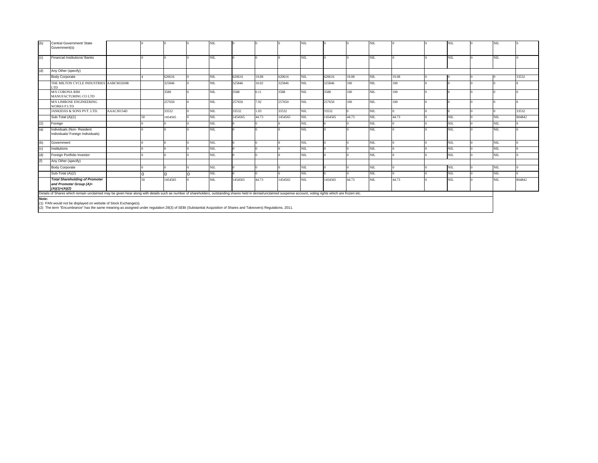| (b)<br>Central Government/ State<br>NIL<br>NIL<br>NIL<br>NIL.<br><b>NIL</b><br>Government(s) |                                                                                                                                                                                                                |            |            |         |  |            |         |       |         |            |         |       |            |       |      |            |        |
|----------------------------------------------------------------------------------------------|----------------------------------------------------------------------------------------------------------------------------------------------------------------------------------------------------------------|------------|------------|---------|--|------------|---------|-------|---------|------------|---------|-------|------------|-------|------|------------|--------|
|                                                                                              |                                                                                                                                                                                                                |            |            |         |  |            |         |       |         |            |         |       |            |       |      |            |        |
|                                                                                              |                                                                                                                                                                                                                |            |            |         |  |            |         |       |         |            |         |       |            |       |      |            |        |
| (c)                                                                                          | Financial Institutions/ Banks                                                                                                                                                                                  |            |            |         |  | NIL.       |         |       |         | <b>NIL</b> |         |       | <b>NIL</b> |       | NIL  | NIL        |        |
|                                                                                              |                                                                                                                                                                                                                |            |            |         |  |            |         |       |         |            |         |       |            |       |      |            |        |
| (d)                                                                                          | Any Other (specify)                                                                                                                                                                                            |            |            |         |  |            |         |       |         |            |         |       |            |       |      |            |        |
|                                                                                              | <b>Body Corporate</b>                                                                                                                                                                                          |            |            | 620616  |  | NIL.       | 620616  | 19.08 | 620616  | <b>NIL</b> | 620616  | 19.08 | <b>NIL</b> | 19.08 |      |            | 33532  |
|                                                                                              | THE MILTON CYCLE INDUSTRIES AABCM3269R<br>LTD.                                                                                                                                                                 |            |            | 325846  |  | NIL.       | 325846  | 10.02 | 325846  | NIL        | 325846  | 100   | <b>NIL</b> | 100   |      |            |        |
|                                                                                              | <b>M/S CORONA RIM</b><br>MANUFACTURING CO LTD                                                                                                                                                                  |            |            | 3588    |  | <b>NIL</b> | 3588    | 0.11  | 3588    | NIL        | 3588    | 100   | NIL.       | 100   |      |            |        |
|                                                                                              | <b>M/S LIMROSE ENGINEERING</b><br><b>WORKS PLTD</b>                                                                                                                                                            |            |            | 257650  |  | NIL.       | 257650  | 7.92  | 257650  | <b>NIL</b> | 257650  | 100   | NIL.       | 100   |      |            |        |
|                                                                                              | JANKIDAS & SONS PVT. LTD.                                                                                                                                                                                      | AAACJ0154D |            | 33532   |  | <b>NIL</b> | 33532   | 1.03  | 33532   | <b>NIL</b> | 33532   |       | <b>NIL</b> |       |      |            | 33532  |
|                                                                                              | Sub-Total (A)(1)                                                                                                                                                                                               |            |            | 1454565 |  | <b>NIL</b> | 1454565 | 44.73 | 1454565 | <b>NIL</b> | 1454565 | 44.73 | NIL        | 44.73 | NIL  | NIL        | 804842 |
| (2)                                                                                          | Foreign                                                                                                                                                                                                        |            |            |         |  | NIL        |         |       |         | NIL.       |         |       | NIL.       |       | NIL  | <b>NIL</b> |        |
| (a)                                                                                          | Individuals (Non-Resident<br>Individuals/ Foreign Individuals)                                                                                                                                                 |            |            |         |  | <b>NIL</b> |         |       |         | <b>NIL</b> |         |       | <b>NIL</b> |       | NIL  | NIL        |        |
| (b)                                                                                          | Government                                                                                                                                                                                                     |            |            |         |  | NIL        |         |       |         | <b>NIL</b> |         |       | NIL.       |       | NIL. | <b>NIL</b> |        |
| (c)                                                                                          | Institutions                                                                                                                                                                                                   |            |            |         |  | NIL.       |         |       |         | <b>NIL</b> |         |       | <b>NIL</b> |       | NIL  | NIL        |        |
| $\mathbf{a}$                                                                                 | Foreign Portfolio Investor                                                                                                                                                                                     |            |            |         |  | NIL.       |         |       |         | <b>NIL</b> |         |       | NIL.       |       | NIL. | NIL        |        |
| (f)                                                                                          | Any Other (specify)                                                                                                                                                                                            |            |            |         |  |            |         |       |         |            |         |       |            |       |      |            |        |
|                                                                                              | <b>Body Corporate</b>                                                                                                                                                                                          |            |            |         |  | NIL.       |         |       |         | <b>NIL</b> |         |       | NIL.       |       | NIL. | <b>NIL</b> |        |
|                                                                                              | Sub-Total (A)(2)                                                                                                                                                                                               |            |            |         |  | NIL.       |         |       |         | <b>NIL</b> |         |       | NIL.       |       | NIL. | NIL        |        |
|                                                                                              | <b>Total Shareholding of Promoter</b><br>and Promoter Group (A)=<br>$(A)(1)+(A)(2)$                                                                                                                            |            | $\epsilon$ | 1454565 |  | <b>NIL</b> | 1454565 | 44.73 | 1454565 | NIL        | 1454565 | 44.73 | NIL.       | 44.73 | NIL  | NIL        | 804842 |
|                                                                                              | Details of Shares which remain unclaimed may be given hear along with details such as number of shareholders, outstanding shares held in demat/unclaimed suspense account, voting rights which are frozen etc. |            |            |         |  |            |         |       |         |            |         |       |            |       |      |            |        |
| Note:                                                                                        |                                                                                                                                                                                                                |            |            |         |  |            |         |       |         |            |         |       |            |       |      |            |        |
|                                                                                              | (1) PAN would not be displayed on website of Stock Exchange(s).                                                                                                                                                |            |            |         |  |            |         |       |         |            |         |       |            |       |      |            |        |

(1) PAN would not be displayed on website of Stock Exchange(s). (2) The term "Encumbrance" has the same meaning as assigned under regulation 28(3) of SEBI (Substantial Acquisition of Shares and Takeovers) Regulations, 2011.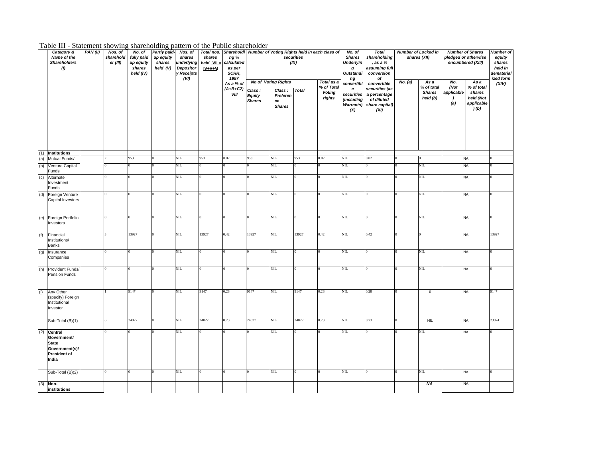|  |  | Table III - Statement showing shareholding pattern of the Public shareholde |  |  |  |
|--|--|-----------------------------------------------------------------------------|--|--|--|
|  |  |                                                                             |  |  |  |

|     | Table III - Statement showing shareholding pattern of the Public shareholder      |         |                                  |                                                          |                                                          |                                                                           |                                         |                                               |                                          |                                           |                    |                                                                     |                                                                     |                                                                               |         |                                            |                                  |                                                                      |                                                                     |
|-----|-----------------------------------------------------------------------------------|---------|----------------------------------|----------------------------------------------------------|----------------------------------------------------------|---------------------------------------------------------------------------|-----------------------------------------|-----------------------------------------------|------------------------------------------|-------------------------------------------|--------------------|---------------------------------------------------------------------|---------------------------------------------------------------------|-------------------------------------------------------------------------------|---------|--------------------------------------------|----------------------------------|----------------------------------------------------------------------|---------------------------------------------------------------------|
|     | Category &<br>Name of the<br><b>Shareholders</b><br>(1)                           | PAN(II) | Nos. of<br>sharehold<br>er (III) | No. of<br>fully paid<br>up equity<br>shares<br>held (IV) | <b>Partly paid-</b><br>up equity<br>shares<br>held $(V)$ | Nos. of<br>shares<br>underlying<br><b>Depositor</b><br>y Receipts<br>(VI) | shares<br>held $VII =$<br>$IV + V + VI$ | ng %<br>calculated<br>as per<br>SCRR,<br>1957 |                                          |                                           | securities<br>(IX) | Total nos. Shareholdi Number of Voting Rights held in each class of | No. of<br><b>Shares</b><br><b>Underlyin</b><br>g<br>Outstandi<br>ng | <b>Total</b><br>shareholding<br>. as a %<br>assuming full<br>conversion<br>оf |         | <b>Number of Locked in</b><br>shares (XII) |                                  | <b>Number of Shares</b><br>pledged or otherwise<br>encumbered (XIII) | Number of<br>equity<br>shares<br>held in<br>dematerial<br>ized form |
|     |                                                                                   |         |                                  |                                                          |                                                          |                                                                           |                                         | As a % of                                     |                                          | <b>No of Voting Rights</b>                |                    | Total as a                                                          | convertibl                                                          | convertible                                                                   | No. (a) | Asa                                        | No.                              | As a                                                                 | (XIV)                                                               |
|     |                                                                                   |         |                                  |                                                          |                                                          |                                                                           |                                         | $(A+B+C2)$<br>VIII                            | Class:<br><b>Equity</b><br><b>Shares</b> | Class:<br>Preferen<br>ce<br><b>Shares</b> | <b>Total</b>       | % of Total<br><b>Voting</b><br>rights                               | е<br>securities<br>(including<br><b>Warrants)</b><br>(X)            | securities (as<br>a percentage<br>of diluted<br>share capital)<br>(XI)        |         | % of total<br><b>Shares</b><br>held (b)    | (Not<br>applicable<br>- 1<br>(a) | % of total<br>shares<br>held (Not<br>applicable<br>(a)(b)            |                                                                     |
| (1) | <b>Institutions</b>                                                               |         |                                  |                                                          |                                                          |                                                                           |                                         |                                               |                                          |                                           |                    |                                                                     |                                                                     |                                                                               |         |                                            |                                  |                                                                      |                                                                     |
| (a) | Mutual Funds/                                                                     |         |                                  | 953                                                      | 0                                                        | NIL                                                                       | 953                                     | 0.02                                          | 953                                      | NIL                                       | 953                | 0.02                                                                | NIL                                                                 | 0.02                                                                          |         |                                            |                                  | <b>NA</b>                                                            |                                                                     |
| (b) | Venture Capital<br>Funds                                                          |         |                                  |                                                          |                                                          | NIL                                                                       |                                         |                                               |                                          | NIL.                                      |                    |                                                                     | NIL                                                                 |                                                                               |         | NIL                                        |                                  | <b>NA</b>                                                            |                                                                     |
| (c) | Alternate<br>Investment<br>Funds                                                  |         |                                  |                                                          |                                                          | NIL                                                                       |                                         |                                               |                                          | NIL                                       |                    |                                                                     | NIL                                                                 |                                                                               |         | NIL                                        |                                  | <b>NA</b>                                                            |                                                                     |
| (d) | Foreign Venture<br>Capital Investors                                              |         |                                  |                                                          |                                                          | NIL                                                                       |                                         |                                               |                                          | NIL                                       |                    |                                                                     | NIL                                                                 |                                                                               |         | NIL                                        |                                  | <b>NA</b>                                                            |                                                                     |
| (e) | Foreign Portfolio<br>Investors                                                    |         |                                  |                                                          |                                                          | NIL.                                                                      |                                         |                                               |                                          | NIL.                                      |                    |                                                                     | NIL.                                                                |                                                                               |         | NIL.                                       |                                  | <b>NA</b>                                                            |                                                                     |
| (f) | Financial<br>Institutions/<br>Banks                                               |         |                                  | 13927                                                    |                                                          | NIL.                                                                      | 13927                                   | 0.42                                          | 13927                                    | NIL.                                      | 13927              | 0.42                                                                | NIL                                                                 | 0.42                                                                          |         |                                            |                                  | <b>NA</b>                                                            | 13927                                                               |
| (g) | Insurance<br>Companies                                                            |         |                                  |                                                          |                                                          | NIL                                                                       |                                         |                                               |                                          | NIL                                       |                    |                                                                     | NIL                                                                 |                                                                               |         | NIL                                        |                                  | <b>NA</b>                                                            |                                                                     |
| (h) | Provident Funds/<br>Pension Funds                                                 |         |                                  |                                                          |                                                          | NIL                                                                       |                                         |                                               |                                          | NIL.                                      |                    |                                                                     | NIL                                                                 |                                                                               |         | NIL                                        |                                  | <b>NA</b>                                                            |                                                                     |
| (i) | Any Other<br>(specify) Foreign<br>Institutional<br>Investor                       |         |                                  | 9147                                                     | 0                                                        | NIL                                                                       | 9147                                    | 0.28                                          | 9147                                     | NIL                                       | 9147               | 0.28                                                                | NIL                                                                 | 0.28                                                                          |         | $\mathbf 0$                                |                                  | NA                                                                   | 9147                                                                |
|     | Sub-Total (B)(1)                                                                  |         |                                  | 24027                                                    | $\overline{0}$                                           | NIL                                                                       | 24027                                   | 0.73                                          | 24027                                    | NIL.                                      | 24027              | 0.73                                                                | NIL                                                                 | 0.73                                                                          |         | <b>NIL</b>                                 |                                  | NA                                                                   | 23074                                                               |
| (2) | Central<br>Government/<br><b>State</b><br>Government(s)/<br>President of<br>India |         |                                  |                                                          | 0.                                                       | NIL                                                                       |                                         |                                               |                                          | NIL                                       |                    |                                                                     | NIL                                                                 |                                                                               |         | NIL                                        |                                  | <b>NA</b>                                                            |                                                                     |
|     | Sub-Total (B)(2)                                                                  |         |                                  |                                                          |                                                          | NIL                                                                       |                                         |                                               |                                          | NIL                                       |                    |                                                                     | NIL                                                                 |                                                                               |         | NIL                                        |                                  | <b>NA</b>                                                            |                                                                     |
| (3) | Non-<br>institutions                                                              |         |                                  |                                                          |                                                          |                                                                           |                                         |                                               |                                          |                                           |                    |                                                                     |                                                                     |                                                                               |         | <b>NA</b>                                  |                                  | <b>NA</b>                                                            |                                                                     |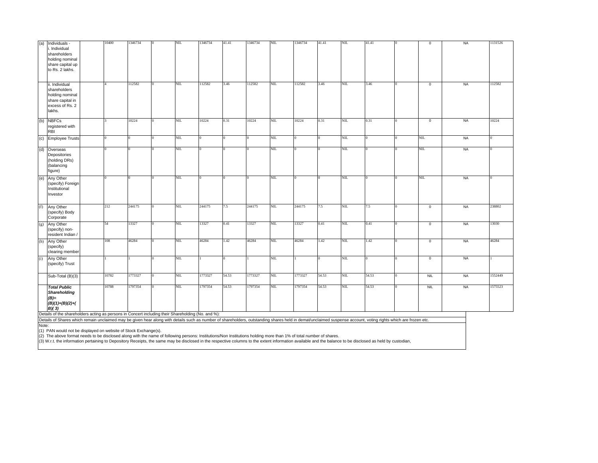| (a) | Individuals -<br>i. Individual<br>shareholders<br>holding nominal<br>share capital up<br>to Rs. 2 lakhs.                                                                                 | 10400 | 1346734 | NIL  | 1346734 | 41.41    | 1346734 | NIL  | 1346734  | 41.41 | NIL       | 41.41 |              | $\mathbf 0$ | <b>NA</b> | 1131526 |
|-----|------------------------------------------------------------------------------------------------------------------------------------------------------------------------------------------|-------|---------|------|---------|----------|---------|------|----------|-------|-----------|-------|--------------|-------------|-----------|---------|
|     | ii. Individual<br>shareholders<br>holding nominal<br>share capital in<br>excess of Rs. 2<br>lakhs.                                                                                       |       | 112582  | NIL  | 112582  | 3.46     | 112582  | NIL  | 112582   | 3.46  | NIL.      | 3.46  | $\Omega$     | $\,0\,$     | <b>NA</b> | 112582  |
| (b) | <b>NBFCs</b><br>registered with<br><b>RBI</b>                                                                                                                                            |       | 10224   | NIL. | 10224   | 0.31     | 10224   | NIL. | 10224    | 0.31  | NIL       | 0.31  |              | $\mathbf 0$ | <b>NA</b> | 10224   |
|     | (c) Employee Trusts                                                                                                                                                                      |       |         | NIL  |         | <b>O</b> |         | NIL. | $\Omega$ |       | NIL.      |       | $\Omega$     | NIL.        | <b>NA</b> |         |
|     | (d) Overseas<br>Depositories<br>(holding DRs)<br>(balancing<br>figure)                                                                                                                   |       |         | NIL  |         |          |         | NIL  |          |       | NIL       |       |              | NIL         | <b>NA</b> |         |
|     | (e) Any Other<br>(specify) Foreign<br>Institutional<br>Investor                                                                                                                          |       |         | NIL  |         | <b>O</b> |         | NIL. |          |       | NIL       |       | $\Omega$     | NIL         | NA        |         |
| (f) | Any Other<br>(specify) Body<br>Corporate                                                                                                                                                 | 212   | 244175  | NIL  | 244175  | 7.5      | 244175  | NIL  | 244175   | 7.5   | NIL.      | 7.5   | $\Omega$     | $\mathbf 0$ | <b>NA</b> | 238802  |
|     | (g) Any Other<br>(specify) non-<br>resident Indian /                                                                                                                                     | 54    | 13327   | NIL  | 13327   | 0.41     | 13327   | NIL  | 13327    | 0.41  | $N\!$ II. | 0.41  | $\mathbf{0}$ | $\mathbf 0$ | <b>NA</b> | 13030   |
|     | (h) Any Other<br>(specify)<br>clearing member                                                                                                                                            | 108   | 46284   | NIL  | 46284   | 1.42     | 46284   | NIL  | 46284    | 1.42  | NIL       | 1.42  | $\Omega$     | $\mathbf 0$ | <b>NA</b> | 46284   |
| (i) | Any Other<br>(specify) Trust                                                                                                                                                             |       |         | NIL  |         | $\Omega$ |         | NIL. |          |       | NIL.      |       | $\Omega$     | $\mathbf 0$ | <b>NA</b> |         |
|     | Sub-Total (B)(3)                                                                                                                                                                         | 10782 | 1773327 | NIL  | 1773327 | 54.53    | 1773327 | NIL. | 1773327  | 54.53 | NIL       | 54.53 |              | <b>NIL</b>  | <b>NA</b> | 1552449 |
|     | <b>Total Public</b><br><b>Shareholding</b><br>$(B)=$<br>$(B)(1)+(B)(2)+($<br>B/(3)<br>Details of the shareholders acting as persons in Concert including their Shareholding (No. and %): | 10788 | 1797354 | NIL  | 1797354 | 54.53    | 1797354 | NIL  | 1797354  | 54.53 | NIL       | 54.53 |              | <b>NIL</b>  | <b>NA</b> | 1575523 |

Details of the shareholders acting as persons in Concert including their Shareholding (No. and %):<br>Details of Shares which remain unclaimed may be given hear along with details such as number of shareholders, outstanding s Note:

(1) PAN would not be displayed on website of Stock Exchange(s).<br>(2) The above format needs to be disclosed along with the name of following persons: Institutions/Non Institutions holding more than 1% of total number of sha